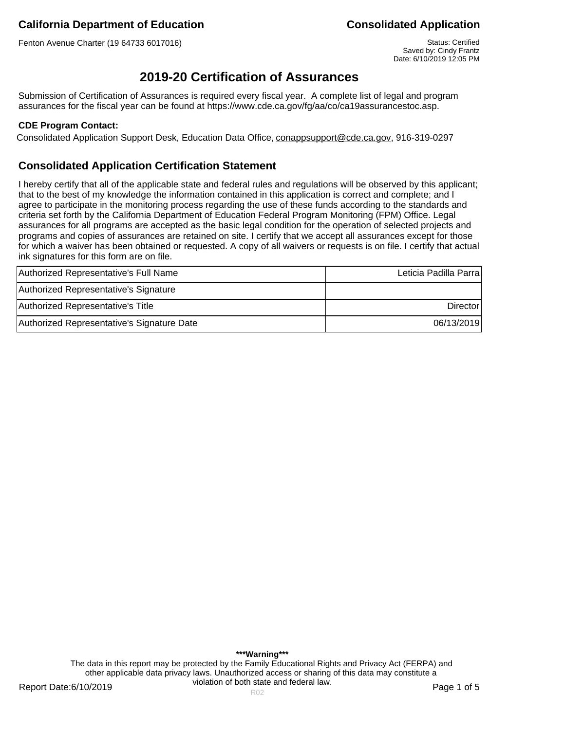Fenton Avenue Charter (19 64733 6017016) Status: Certified

Saved by: Cindy Frantz Date: 6/10/2019 12:05 PM

# **2019-20 Certification of Assurances**

Submission of Certification of Assurances is required every fiscal year. A complete list of legal and program assurances for the fiscal year can be found at https://www.cde.ca.gov/fg/aa/co/ca19assurancestoc.asp.

### **CDE Program Contact:**

Consolidated Application Support Desk, Education Data Office, conappsupport@cde.ca.gov, 916-319-0297

## **Consolidated Application Certification Statement**

I hereby certify that all of the applicable state and federal rules and regulations will be observed by this applicant; that to the best of my knowledge the information contained in this application is correct and complete; and I agree to participate in the monitoring process regarding the use of these funds according to the standards and criteria set forth by the California Department of Education Federal Program Monitoring (FPM) Office. Legal assurances for all programs are accepted as the basic legal condition for the operation of selected projects and programs and copies of assurances are retained on site. I certify that we accept all assurances except for those for which a waiver has been obtained or requested. A copy of all waivers or requests is on file. I certify that actual ink signatures for this form are on file.

| Authorized Representative's Full Name      | Leticia Padilla Parra |
|--------------------------------------------|-----------------------|
| Authorized Representative's Signature      |                       |
| Authorized Representative's Title          | <b>Director</b>       |
| Authorized Representative's Signature Date | 06/13/2019            |

**\*\*\*Warning\*\*\*** The data in this report may be protected by the Family Educational Rights and Privacy Act (FERPA) and other applicable data privacy laws. Unauthorized access or sharing of this data may constitute a violation of both state and federal law.

Report Date:6/10/2019 **Page 1 of 5** Report Date:6/10/2019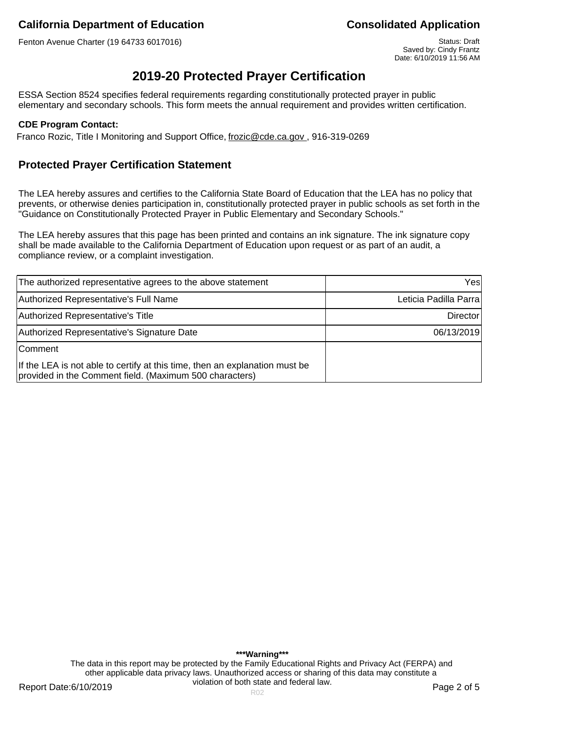Fenton Avenue Charter (19 64733 6017016) Status: Draft Status: Draft Status: Draft

Saved by: Cindy Frantz Date: 6/10/2019 11:56 AM

# **2019-20 Protected Prayer Certification**

ESSA Section 8524 specifies federal requirements regarding constitutionally protected prayer in public elementary and secondary schools. This form meets the annual requirement and provides written certification.

### **CDE Program Contact:**

Franco Rozic, Title I Monitoring and Support Office, frozic@cde.ca.gov., 916-319-0269

## **Protected Prayer Certification Statement**

The LEA hereby assures and certifies to the California State Board of Education that the LEA has no policy that prevents, or otherwise denies participation in, constitutionally protected prayer in public schools as set forth in the "Guidance on Constitutionally Protected Prayer in Public Elementary and Secondary Schools."

The LEA hereby assures that this page has been printed and contains an ink signature. The ink signature copy shall be made available to the California Department of Education upon request or as part of an audit, a compliance review, or a complaint investigation.

| The authorized representative agrees to the above statement                                                                            | Yesl                  |
|----------------------------------------------------------------------------------------------------------------------------------------|-----------------------|
| Authorized Representative's Full Name                                                                                                  | Leticia Padilla Parra |
| Authorized Representative's Title                                                                                                      | Director              |
| Authorized Representative's Signature Date                                                                                             | 06/13/2019            |
| <b>Comment</b>                                                                                                                         |                       |
| If the LEA is not able to certify at this time, then an explanation must be<br>provided in the Comment field. (Maximum 500 characters) |                       |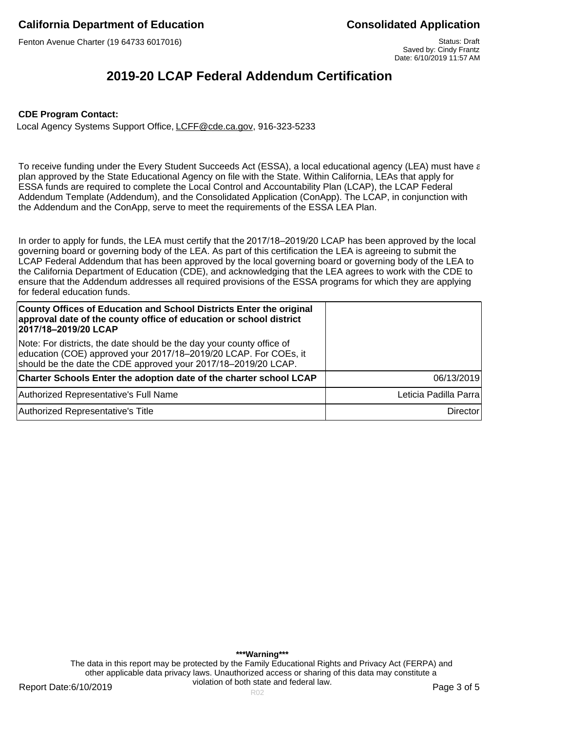Fenton Avenue Charter (19 64733 6017016) Status: Draft Status: Draft Status: Draft

Saved by: Cindy Frantz Date: 6/10/2019 11:57 AM

# **2019-20 LCAP Federal Addendum Certification**

#### **CDE Program Contact:**

Local Agency Systems Support Office, LCFF@cde.ca.gov, 916-323-5233

To receive funding under the Every Student Succeeds Act (ESSA), a local educational agency (LEA) must have a plan approved by the State Educational Agency on file with the State. Within California, LEAs that apply for ESSA funds are required to complete the Local Control and Accountability Plan (LCAP), the LCAP Federal Addendum Template (Addendum), and the Consolidated Application (ConApp). The LCAP, in conjunction with the Addendum and the ConApp, serve to meet the requirements of the ESSA LEA Plan.

In order to apply for funds, the LEA must certify that the 2017/18–2019/20 LCAP has been approved by the local governing board or governing body of the LEA. As part of this certification the LEA is agreeing to submit the LCAP Federal Addendum that has been approved by the local governing board or governing body of the LEA to the California Department of Education (CDE), and acknowledging that the LEA agrees to work with the CDE to ensure that the Addendum addresses all required provisions of the ESSA programs for which they are applying for federal education funds.

| County Offices of Education and School Districts Enter the original<br>approval date of the county office of education or school district<br>2017/18-2019/20 LCAP                                           |                       |
|-------------------------------------------------------------------------------------------------------------------------------------------------------------------------------------------------------------|-----------------------|
| Note: For districts, the date should be the day your county office of<br>education (COE) approved your 2017/18-2019/20 LCAP. For COEs, it<br>should be the date the CDE approved your 2017/18-2019/20 LCAP. |                       |
| Charter Schools Enter the adoption date of the charter school LCAP                                                                                                                                          | 06/13/2019            |
| Authorized Representative's Full Name                                                                                                                                                                       | Leticia Padilla Parra |
| Authorized Representative's Title                                                                                                                                                                           | <b>Director</b>       |

**\*\*\*Warning\*\*\*** The data in this report may be protected by the Family Educational Rights and Privacy Act (FERPA) and other applicable data privacy laws. Unauthorized access or sharing of this data may constitute a violation of both state and federal law.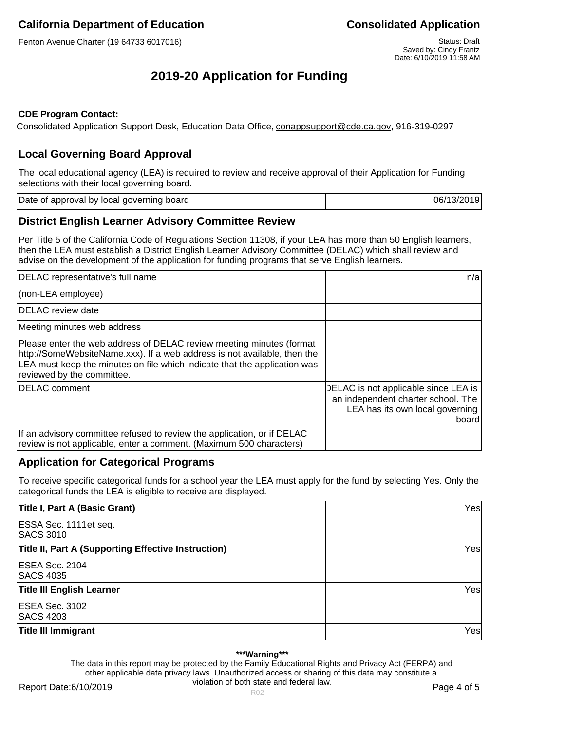Fenton Avenue Charter (19 64733 6017016) Status: Draft Status: Draft Status: Draft

# **2019-20 Application for Funding**

### **CDE Program Contact:**

Consolidated Application Support Desk, Education Data Office, conappsupport@cde.ca.gov, 916-319-0297

## **Local Governing Board Approval**

The local educational agency (LEA) is required to review and receive approval of their Application for Funding selections with their local governing board.

| Date of approval by local governing board | 06/13/2019 |
|-------------------------------------------|------------|
|                                           |            |

## **District English Learner Advisory Committee Review**

Per Title 5 of the California Code of Regulations Section 11308, if your LEA has more than 50 English learners, then the LEA must establish a District English Learner Advisory Committee (DELAC) which shall review and advise on the development of the application for funding programs that serve English learners.

| DELAC representative's full name                                                                                                                                                                                                                            | n/a                                                                                                                    |
|-------------------------------------------------------------------------------------------------------------------------------------------------------------------------------------------------------------------------------------------------------------|------------------------------------------------------------------------------------------------------------------------|
| (non-LEA employee)                                                                                                                                                                                                                                          |                                                                                                                        |
| DELAC review date                                                                                                                                                                                                                                           |                                                                                                                        |
| Meeting minutes web address                                                                                                                                                                                                                                 |                                                                                                                        |
| Please enter the web address of DELAC review meeting minutes (format<br>http://SomeWebsiteName.xxx). If a web address is not available, then the<br>LEA must keep the minutes on file which indicate that the application was<br>reviewed by the committee. |                                                                                                                        |
| <b>IDELAC</b> comment                                                                                                                                                                                                                                       | DELAC is not applicable since LEA is<br>an independent charter school. The<br>LEA has its own local governing<br>board |
| If an advisory committee refused to review the application, or if DELAC<br>review is not applicable, enter a comment. (Maximum 500 characters)                                                                                                              |                                                                                                                        |

## **Application for Categorical Programs**

To receive specific categorical funds for a school year the LEA must apply for the fund by selecting Yes. Only the categorical funds the LEA is eligible to receive are displayed.

| Title I, Part A (Basic Grant)                              | Yesl |
|------------------------------------------------------------|------|
| ESSA Sec. 1111 et seq.<br><b>SACS 3010</b>                 |      |
| <b>Title II, Part A (Supporting Effective Instruction)</b> | Yesl |
| ESEA Sec. 2104<br><b>SACS 4035</b>                         |      |
| <b>Title III English Learner</b>                           | Yesl |
| ESEA Sec. 3102<br><b>SACS 4203</b>                         |      |
| <b>Title III Immigrant</b>                                 | Yesl |

#### **\*\*\*Warning\*\*\***

The data in this report may be protected by the Family Educational Rights and Privacy Act (FERPA) and other applicable data privacy laws. Unauthorized access or sharing of this data may constitute a violation of both state and federal law.